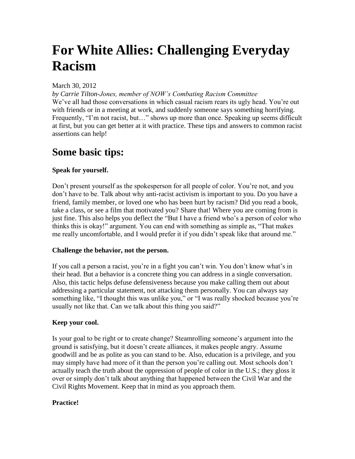# **For White Allies: Challenging Everyday Racism**

### March 30, 2012

*by Carrie Tilton-Jones, member of NOW's Combating Racism Committee* We've all had those conversations in which casual racism rears its ugly head. You're out with friends or in a meeting at work, and suddenly someone says something horrifying. Frequently, "I'm not racist, but..." shows up more than once. Speaking up seems difficult at first, but you can get better at it with practice. These tips and answers to common racist assertions can help!

### **Some basic tips:**

### **Speak for yourself.**

Don't present yourself as the spokesperson for all people of color. You're not, and you don't have to be. Talk about why anti-racist activism is important to you. Do you have a friend, family member, or loved one who has been hurt by racism? Did you read a book, take a class, or see a film that motivated you? Share that! Where you are coming from is just fine. This also helps you deflect the "But I have a friend who's a person of color who thinks this is okay!" argument. You can end with something as simple as, "That makes me really uncomfortable, and I would prefer it if you didn't speak like that around me."

### **Challenge the behavior, not the person.**

If you call a person a racist, you're in a fight you can't win. You don't know what's in their head. But a behavior is a concrete thing you can address in a single conversation. Also, this tactic helps defuse defensiveness because you make calling them out about addressing a particular statement, not attacking them personally. You can always say something like, "I thought this was unlike you," or "I was really shocked because you're usually not like that. Can we talk about this thing you said?"

### **Keep your cool.**

Is your goal to be right or to create change? Steamrolling someone's argument into the ground is satisfying, but it doesn't create alliances, it makes people angry. Assume goodwill and be as polite as you can stand to be. Also, education is a privilege, and you may simply have had more of it than the person you're calling out. Most schools don't actually teach the truth about the oppression of people of color in the U.S.; they gloss it over or simply don't talk about anything that happened between the Civil War and the Civil Rights Movement. Keep that in mind as you approach them.

### **Practice!**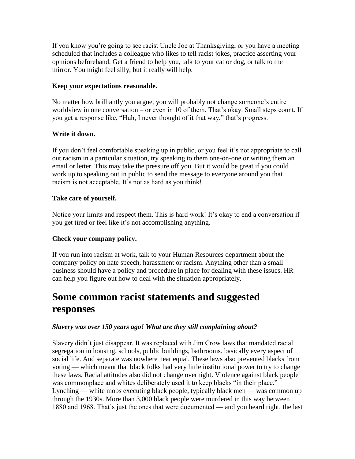If you know you're going to see racist Uncle Joe at Thanksgiving, or you have a meeting scheduled that includes a colleague who likes to tell racist jokes, practice asserting your opinions beforehand. Get a friend to help you, talk to your cat or dog, or talk to the mirror. You might feel silly, but it really will help.

### **Keep your expectations reasonable.**

No matter how brilliantly you argue, you will probably not change someone's entire worldview in one conversation – or even in 10 of them. That's okay. Small steps count. If you get a response like, "Huh, I never thought of it that way," that's progress.

### **Write it down.**

If you don't feel comfortable speaking up in public, or you feel it's not appropriate to call out racism in a particular situation, try speaking to them one-on-one or writing them an email or letter. This may take the pressure off you. But it would be great if you could work up to speaking out in public to send the message to everyone around you that racism is not acceptable. It's not as hard as you think!

### **Take care of yourself.**

Notice your limits and respect them. This is hard work! It's okay to end a conversation if you get tired or feel like it's not accomplishing anything.

### **Check your company policy.**

If you run into racism at work, talk to your Human Resources department about the company policy on hate speech, harassment or racism. Anything other than a small business should have a policy and procedure in place for dealing with these issues. HR can help you figure out how to deal with the situation appropriately.

## **Some common racist statements and suggested responses**

### *Slavery was over 150 years ago! What are they still complaining about?*

Slavery didn't just disappear. It was replaced with Jim Crow laws that mandated racial segregation in housing, schools, public buildings, bathrooms. basically every aspect of social life. And separate was nowhere near equal. These laws also prevented blacks from voting — which meant that black folks had very little institutional power to try to change these laws. Racial attitudes also did not change overnight. Violence against black people was commonplace and whites deliberately used it to keep blacks "in their place." Lynching — white mobs executing black people, typically black men — was common up through the 1930s. More than 3,000 black people were murdered in this way between 1880 and 1968. That's just the ones that were documented — and you heard right, the last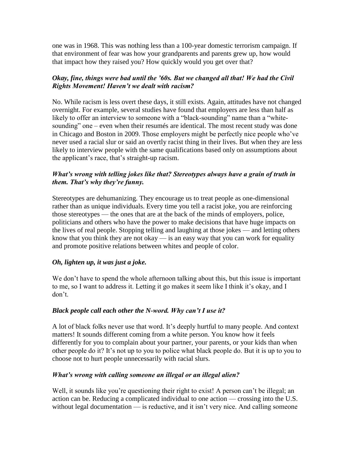one was in 1968. This was nothing less than a 100-year domestic terrorism campaign. If that environment of fear was how your grandparents and parents grew up, how would that impact how they raised you? How quickly would you get over that?

### *Okay, fine, things were bad until the '60s. But we changed all that! We had the Civil Rights Movement! Haven't we dealt with racism?*

No. While racism is less overt these days, it still exists. Again, attitudes have not changed overnight. For example, several studies have found that employers are less than half as likely to offer an interview to someone with a "black-sounding" name than a "whitesounding" one – even when their resumés are identical. The most recent study was done in Chicago and Boston in 2009. Those employers might be perfectly nice people who've never used a racial slur or said an overtly racist thing in their lives. But when they are less likely to interview people with the same qualifications based only on assumptions about the applicant's race, that's straight-up racism.

### *What's wrong with telling jokes like that? Stereotypes always have a grain of truth in them. That's why they're funny.*

Stereotypes are dehumanizing. They encourage us to treat people as one-dimensional rather than as unique individuals. Every time you tell a racist joke, you are reinforcing those stereotypes — the ones that are at the back of the minds of employers, police, politicians and others who have the power to make decisions that have huge impacts on the lives of real people. Stopping telling and laughing at those jokes — and letting others know that you think they are not okay — is an easy way that you can work for equality and promote positive relations between whites and people of color.

### *Oh, lighten up, it was just a joke.*

We don't have to spend the whole afternoon talking about this, but this issue is important to me, so I want to address it. Letting it go makes it seem like I think it's okay, and I don't.

### *Black people call each other the N-word. Why can't I use it?*

A lot of black folks never use that word. It's deeply hurtful to many people. And context matters! It sounds different coming from a white person. You know how it feels differently for you to complain about your partner, your parents, or your kids than when other people do it? It's not up to you to police what black people do. But it is up to you to choose not to hurt people unnecessarily with racial slurs.

### *What's wrong with calling someone an illegal or an illegal alien?*

Well, it sounds like you're questioning their right to exist! A person can't be illegal; an action can be. Reducing a complicated individual to one action — crossing into the U.S. without legal documentation — is reductive, and it isn't very nice. And calling someone